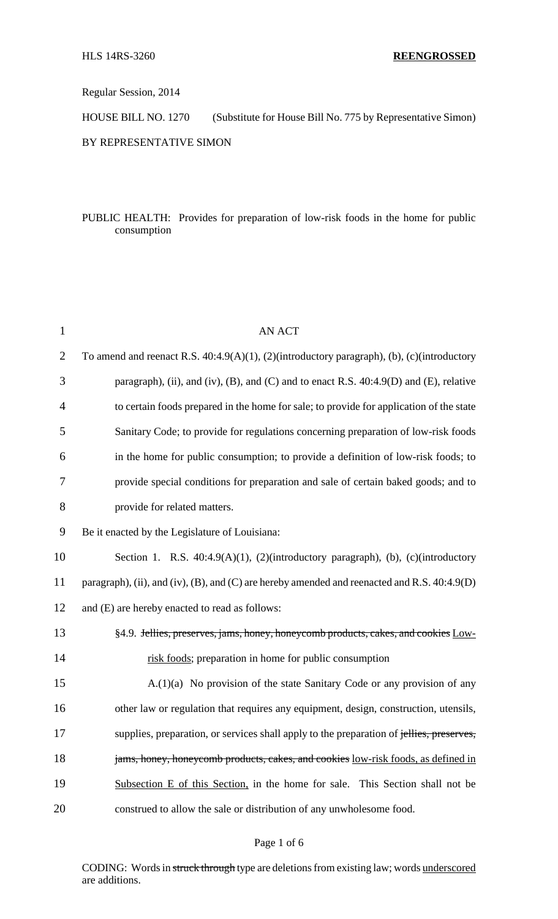Regular Session, 2014

HOUSE BILL NO. 1270 (Substitute for House Bill No. 775 by Representative Simon)

BY REPRESENTATIVE SIMON

## PUBLIC HEALTH: Provides for preparation of low-risk foods in the home for public consumption

| $\mathbf{1}$   | <b>AN ACT</b>                                                                                |
|----------------|----------------------------------------------------------------------------------------------|
| $\overline{2}$ | To amend and reenact R.S. 40:4.9(A)(1), (2)(introductory paragraph), (b), (c)(introductory   |
| 3              | paragraph), (ii), and (iv), (B), and (C) and to enact R.S. $40:4.9(D)$ and (E), relative     |
| $\overline{4}$ | to certain foods prepared in the home for sale; to provide for application of the state      |
| 5              | Sanitary Code; to provide for regulations concerning preparation of low-risk foods           |
| 6              | in the home for public consumption; to provide a definition of low-risk foods; to            |
| 7              | provide special conditions for preparation and sale of certain baked goods; and to           |
| 8              | provide for related matters.                                                                 |
| 9              | Be it enacted by the Legislature of Louisiana:                                               |
| 10             | Section 1. R.S. $40:4.9(A)(1)$ , $(2)(introducing paragnah)$ , $(b)$ , $(c)(introducing$     |
| 11             | paragraph), (ii), and (iv), (B), and (C) are hereby amended and reenacted and R.S. 40:4.9(D) |
| 12             | and (E) are hereby enacted to read as follows:                                               |
| 13             | §4.9. Jellies, preserves, jams, honey, honeycomb products, cakes, and cookies Low-           |
| 14             | risk foods; preparation in home for public consumption                                       |
| 15             | $A(1)(a)$ No provision of the state Sanitary Code or any provision of any                    |
| 16             | other law or regulation that requires any equipment, design, construction, utensils,         |
| 17             | supplies, preparation, or services shall apply to the preparation of jellies, preserves,     |
| 18             | jams, honey, honeycomb products, cakes, and cookies low-risk foods, as defined in            |
| 19             | Subsection E of this Section, in the home for sale. This Section shall not be                |
| 20             | construed to allow the sale or distribution of any unwholesome food.                         |

#### Page 1 of 6

CODING: Words in struck through type are deletions from existing law; words underscored are additions.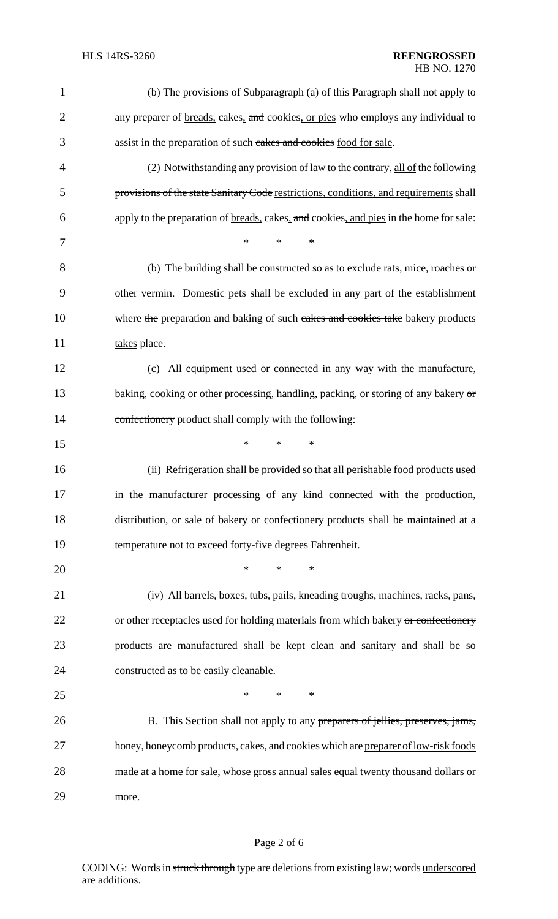| $\mathbf{1}$   | (b) The provisions of Subparagraph (a) of this Paragraph shall not apply to                    |
|----------------|------------------------------------------------------------------------------------------------|
| $\overline{2}$ | any preparer of <u>breads</u> , cakes, and cookies, or pies who employs any individual to      |
| 3              | assist in the preparation of such cakes and cookies food for sale.                             |
| 4              | (2) Notwithstanding any provision of law to the contrary, all of the following                 |
| 5              | provisions of the state Sanitary Code restrictions, conditions, and requirements shall         |
| 6              | apply to the preparation of <u>breads</u> , cakes, and cookies, and pies in the home for sale: |
| 7              | $\ast$<br>*<br>$\ast$                                                                          |
| 8              | (b) The building shall be constructed so as to exclude rats, mice, roaches or                  |
| 9              | other vermin. Domestic pets shall be excluded in any part of the establishment                 |
| 10             | where the preparation and baking of such cakes and cookies take bakery products                |
| 11             | takes place.                                                                                   |
| 12             | (c) All equipment used or connected in any way with the manufacture,                           |
| 13             | baking, cooking or other processing, handling, packing, or storing of any bakery or            |
| 14             | confectionery product shall comply with the following:                                         |
| 15             | *<br>$*$<br>∗                                                                                  |
| 16             | (ii) Refrigeration shall be provided so that all perishable food products used                 |
| 17             | in the manufacturer processing of any kind connected with the production,                      |
| 18             | distribution, or sale of bakery or confectionery products shall be maintained at a             |
| 19             | temperature not to exceed forty-five degrees Fahrenheit.                                       |
| 20             | *<br>$*$<br>∗                                                                                  |
| 21             | (iv) All barrels, boxes, tubs, pails, kneading troughs, machines, racks, pans,                 |
| 22             | or other receptacles used for holding materials from which bakery or confectionery             |
| 23             | products are manufactured shall be kept clean and sanitary and shall be so                     |
| 24             | constructed as to be easily cleanable.                                                         |
| 25             | $*$<br>$\ast$<br>*                                                                             |
| 26             | B. This Section shall not apply to any preparers of jellies, preserves, jams,                  |
| 27             | honey, honeycomb products, cakes, and cookies which are preparer of low-risk foods             |
| 28             | made at a home for sale, whose gross annual sales equal twenty thousand dollars or             |
| 29             | more.                                                                                          |

# Page 2 of 6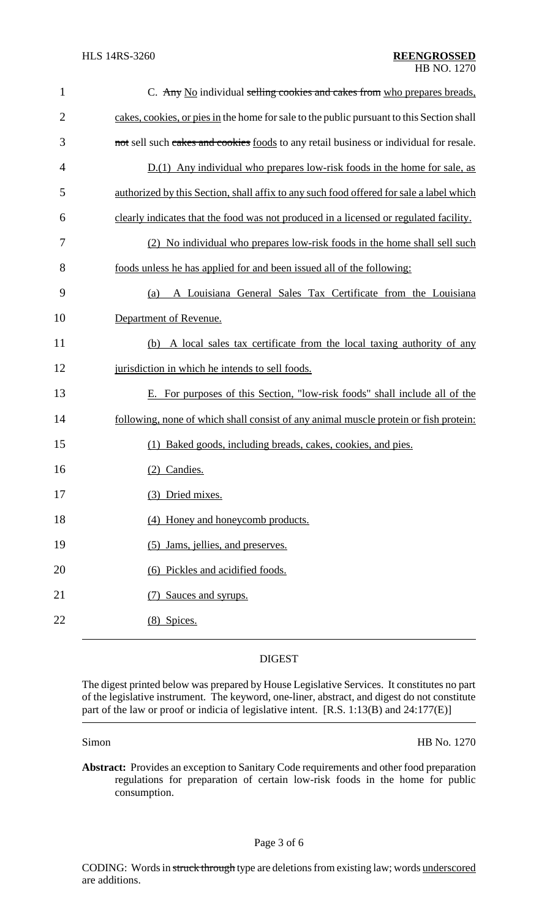| $\mathbf{1}$   | C. Any No individual selling cookies and cakes from who prepares breads,                  |
|----------------|-------------------------------------------------------------------------------------------|
| $\overline{2}$ | cakes, cookies, or pies in the home for sale to the public pursuant to this Section shall |
| 3              | not sell such cakes and cookies foods to any retail business or individual for resale.    |
| 4              | $D(1)$ Any individual who prepares low-risk foods in the home for sale, as                |
| 5              | authorized by this Section, shall affix to any such food offered for sale a label which   |
| 6              | clearly indicates that the food was not produced in a licensed or regulated facility.     |
| 7              | (2) No individual who prepares low-risk foods in the home shall sell such                 |
| 8              | foods unless he has applied for and been issued all of the following:                     |
| 9              | A Louisiana General Sales Tax Certificate from the Louisiana<br>(a)                       |
| 10             | Department of Revenue.                                                                    |
| 11             | A local sales tax certificate from the local taxing authority of any<br>(b)               |
| 12             | jurisdiction in which he intends to sell foods.                                           |
| 13             | E. For purposes of this Section, "low-risk foods" shall include all of the                |
| 14             | following, none of which shall consist of any animal muscle protein or fish protein:      |
| 15             | (1) Baked goods, including breads, cakes, cookies, and pies.                              |
| 16             | (2) Candies.                                                                              |
| 17             | (3) Dried mixes.                                                                          |
| 18             | (4) Honey and honeycomb products.                                                         |
| 19             | (5) Jams, jellies, and preserves.                                                         |
| 20             | (6) Pickles and acidified foods.                                                          |
| 21             | Sauces and syrups.                                                                        |
| 22             | (8) Spices.                                                                               |

### DIGEST

The digest printed below was prepared by House Legislative Services. It constitutes no part of the legislative instrument. The keyword, one-liner, abstract, and digest do not constitute part of the law or proof or indicia of legislative intent. [R.S. 1:13(B) and 24:177(E)]

Simon HB No. 1270

**Abstract:** Provides an exception to Sanitary Code requirements and other food preparation regulations for preparation of certain low-risk foods in the home for public consumption.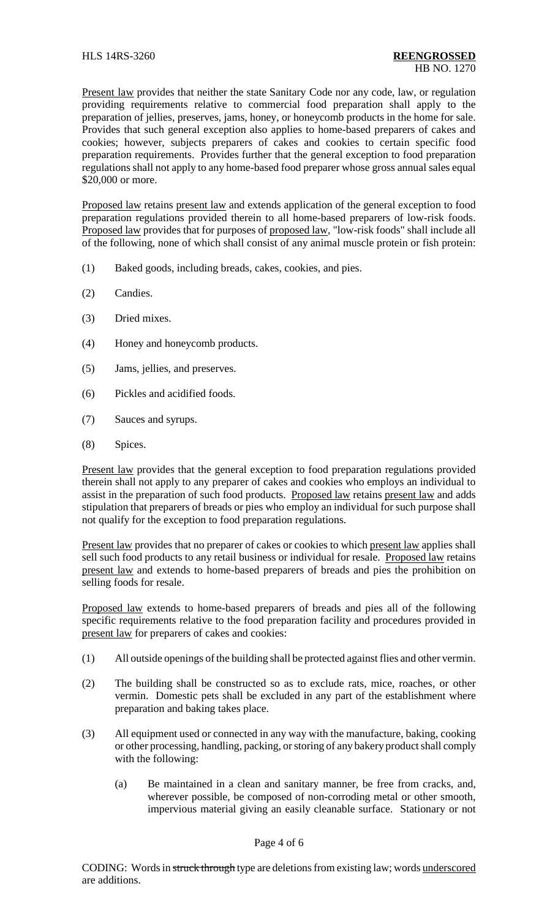Present law provides that neither the state Sanitary Code nor any code, law, or regulation providing requirements relative to commercial food preparation shall apply to the preparation of jellies, preserves, jams, honey, or honeycomb products in the home for sale. Provides that such general exception also applies to home-based preparers of cakes and cookies; however, subjects preparers of cakes and cookies to certain specific food preparation requirements. Provides further that the general exception to food preparation regulations shall not apply to any home-based food preparer whose gross annual sales equal \$20,000 or more.

Proposed law retains present law and extends application of the general exception to food preparation regulations provided therein to all home-based preparers of low-risk foods. Proposed law provides that for purposes of proposed law, "low-risk foods" shall include all of the following, none of which shall consist of any animal muscle protein or fish protein:

- (1) Baked goods, including breads, cakes, cookies, and pies.
- (2) Candies.
- (3) Dried mixes.
- (4) Honey and honeycomb products.
- (5) Jams, jellies, and preserves.
- (6) Pickles and acidified foods.
- (7) Sauces and syrups.
- (8) Spices.

Present law provides that the general exception to food preparation regulations provided therein shall not apply to any preparer of cakes and cookies who employs an individual to assist in the preparation of such food products. Proposed law retains present law and adds stipulation that preparers of breads or pies who employ an individual for such purpose shall not qualify for the exception to food preparation regulations.

Present law provides that no preparer of cakes or cookies to which present law applies shall sell such food products to any retail business or individual for resale. Proposed law retains present law and extends to home-based preparers of breads and pies the prohibition on selling foods for resale.

Proposed law extends to home-based preparers of breads and pies all of the following specific requirements relative to the food preparation facility and procedures provided in present law for preparers of cakes and cookies:

- (1) All outside openings of the building shall be protected against flies and other vermin.
- (2) The building shall be constructed so as to exclude rats, mice, roaches, or other vermin. Domestic pets shall be excluded in any part of the establishment where preparation and baking takes place.
- (3) All equipment used or connected in any way with the manufacture, baking, cooking or other processing, handling, packing, or storing of any bakery product shall comply with the following:
	- (a) Be maintained in a clean and sanitary manner, be free from cracks, and, wherever possible, be composed of non-corroding metal or other smooth, impervious material giving an easily cleanable surface. Stationary or not

### Page 4 of 6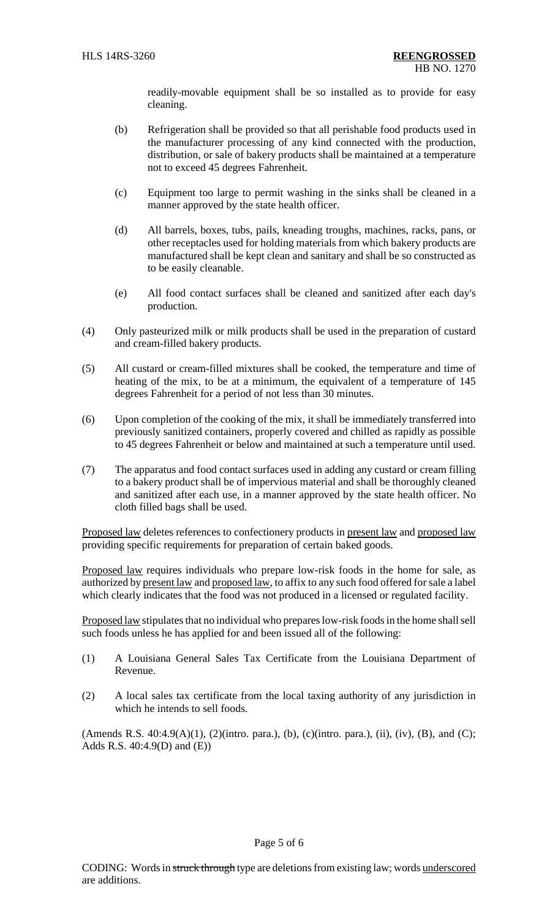readily-movable equipment shall be so installed as to provide for easy cleaning.

- (b) Refrigeration shall be provided so that all perishable food products used in the manufacturer processing of any kind connected with the production, distribution, or sale of bakery products shall be maintained at a temperature not to exceed 45 degrees Fahrenheit.
- (c) Equipment too large to permit washing in the sinks shall be cleaned in a manner approved by the state health officer.
- (d) All barrels, boxes, tubs, pails, kneading troughs, machines, racks, pans, or other receptacles used for holding materials from which bakery products are manufactured shall be kept clean and sanitary and shall be so constructed as to be easily cleanable.
- (e) All food contact surfaces shall be cleaned and sanitized after each day's production.
- (4) Only pasteurized milk or milk products shall be used in the preparation of custard and cream-filled bakery products.
- (5) All custard or cream-filled mixtures shall be cooked, the temperature and time of heating of the mix, to be at a minimum, the equivalent of a temperature of 145 degrees Fahrenheit for a period of not less than 30 minutes.
- (6) Upon completion of the cooking of the mix, it shall be immediately transferred into previously sanitized containers, properly covered and chilled as rapidly as possible to 45 degrees Fahrenheit or below and maintained at such a temperature until used.
- (7) The apparatus and food contact surfaces used in adding any custard or cream filling to a bakery product shall be of impervious material and shall be thoroughly cleaned and sanitized after each use, in a manner approved by the state health officer. No cloth filled bags shall be used.

Proposed law deletes references to confectionery products in present law and proposed law providing specific requirements for preparation of certain baked goods.

Proposed law requires individuals who prepare low-risk foods in the home for sale, as authorized by present law and proposed law, to affix to any such food offered for sale a label which clearly indicates that the food was not produced in a licensed or regulated facility.

Proposed law stipulates that no individual who prepares low-risk foods in the home shall sell such foods unless he has applied for and been issued all of the following:

- (1) A Louisiana General Sales Tax Certificate from the Louisiana Department of Revenue.
- (2) A local sales tax certificate from the local taxing authority of any jurisdiction in which he intends to sell foods.

(Amends R.S.  $40:4.9(A)(1)$ ,  $(2)($ intro. para.),  $(b)$ ,  $(c)($ intro. para.),  $(ii)$ ,  $(iv)$ ,  $(B)$ , and  $(C)$ ; Adds R.S. 40:4.9(D) and (E))